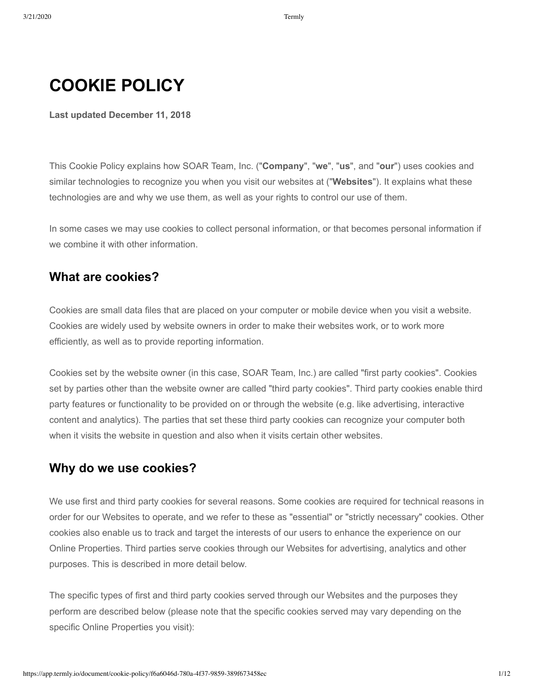# **COOKIE POLICY**

**Last updated December 11, 2018**

This Cookie Policy explains how SOAR Team, Inc. ("**Company**", "**we**", "**us**", and "**our**") uses cookies and similar technologies to recognize you when you visit our websites at ("**Websites**"). It explains what these technologies are and why we use them, as well as your rights to control our use of them.

In some cases we may use cookies to collect personal information, or that becomes personal information if we combine it with other information.

#### **What are cookies?**

Cookies are small data files that are placed on your computer or mobile device when you visit a website. Cookies are widely used by website owners in order to make their websites work, or to work more efficiently, as well as to provide reporting information.

Cookies set by the website owner (in this case, SOAR Team, Inc.) are called "first party cookies". Cookies set by parties other than the website owner are called "third party cookies". Third party cookies enable third party features or functionality to be provided on or through the website (e.g. like advertising, interactive content and analytics). The parties that set these third party cookies can recognize your computer both when it visits the website in question and also when it visits certain other websites.

#### **Why do we use cookies?**

We use first and third party cookies for several reasons. Some cookies are required for technical reasons in order for our Websites to operate, and we refer to these as "essential" or "strictly necessary" cookies. Other cookies also enable us to track and target the interests of our users to enhance the experience on our Online Properties. Third parties serve cookies through our Websites for advertising, analytics and other purposes. This is described in more detail below.

The specific types of first and third party cookies served through our Websites and the purposes they perform are described below (please note that the specific cookies served may vary depending on the specific Online Properties you visit):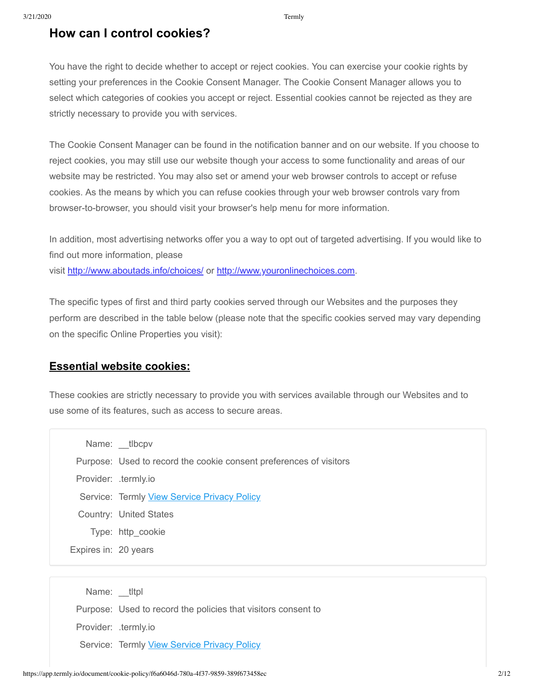## **How can I control cookies?**

You have the right to decide whether to accept or reject cookies. You can exercise your cookie rights by setting your preferences in the Cookie Consent Manager. The Cookie Consent Manager allows you to select which categories of cookies you accept or reject. Essential cookies cannot be rejected as they are strictly necessary to provide you with services.

The Cookie Consent Manager can be found in the notification banner and on our website. If you choose to reject cookies, you may still use our website though your access to some functionality and areas of our website may be restricted. You may also set or amend your web browser controls to accept or refuse cookies. As the means by which you can refuse cookies through your web browser controls vary from browser-to-browser, you should visit your browser's help menu for more information.

In addition, most advertising networks offer you a way to opt out of targeted advertising. If you would like to find out more information, please visit <http://www.aboutads.info/choices/>or [http://www.youronlinechoices.com.](http://www.youronlinechoices.com/)

The specific types of first and third party cookies served through our Websites and the purposes they perform are described in the table below (please note that the specific cookies served may vary depending on the specific Online Properties you visit):

#### **Essential website cookies:**

These cookies are strictly necessary to provide you with services available through our Websites and to use some of its features, such as access to secure areas.

|                      | Name: tlbcpv                                                       |
|----------------------|--------------------------------------------------------------------|
|                      | Purpose: Used to record the cookie consent preferences of visitors |
| Provider: .termly.io |                                                                    |
|                      | Service: Termly View Service Privacy Policy                        |
|                      | Country: United States                                             |
|                      | Type: http cookie                                                  |
| Expires in: 20 years |                                                                    |

Name: tltpl Purpose: Used to record the policies that visitors consent to Provider: .termly.io Service: Termly [View Service Privacy Policy](https://termly.io/our-privacy-policy/)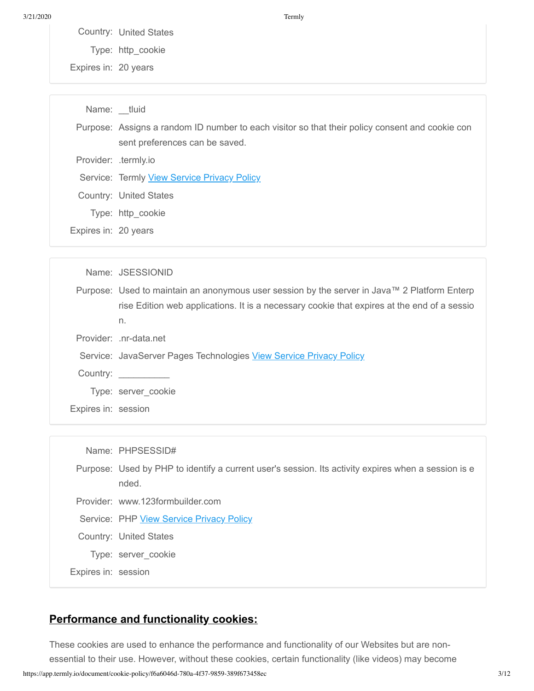Country: United States

Type: http\_cookie

Expires in: 20 years

Name: tluid Purpose: Assigns a random ID number to each visitor so that their policy consent and cookie con sent preferences can be saved. Provider: .termly.io Service: Termly View Service Privacy Policy Country: United States Type: http\_cookie Expires in: 20 years

|                     | Name: JSESSIONID                                                                             |
|---------------------|----------------------------------------------------------------------------------------------|
|                     | Purpose: Used to maintain an anonymous user session by the server in Java™ 2 Platform Enterp |
|                     | rise Edition web applications. It is a necessary cookie that expires at the end of a sessio  |
|                     | n.                                                                                           |
|                     | Provider: .nr-data.net                                                                       |
|                     | Service: JavaServer Pages Technologies View Service Privacy Policy                           |
|                     | Country:                                                                                     |
|                     | Type: server cookie                                                                          |
| Expires in: session |                                                                                              |
|                     |                                                                                              |

|                     | Name: PHPSESSID#                                                                                             |
|---------------------|--------------------------------------------------------------------------------------------------------------|
|                     | Purpose: Used by PHP to identify a current user's session. Its activity expires when a session is e<br>nded. |
|                     | Provider: www.123formbuilder.com                                                                             |
|                     | Service: PHP View Service Privacy Policy                                                                     |
|                     | Country: United States                                                                                       |
|                     | Type: server cookie                                                                                          |
| Expires in: session |                                                                                                              |

#### **Performance and functionality cookies:**

https://app.termly.io/document/cookie-policy/f6a6046d-780a-4f37-9859-389f673458ec 3/12 These cookies are used to enhance the performance and functionality of our Websites but are nonessential to their use. However, without these cookies, certain functionality (like videos) may become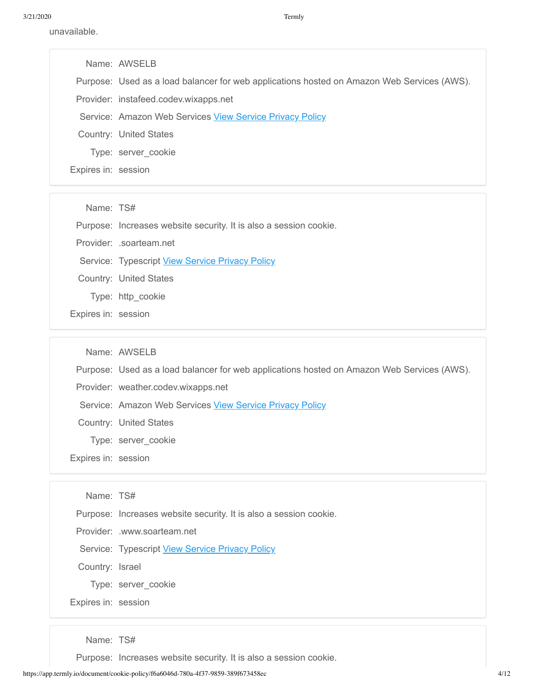unavailable.

|                     | Name: AWSELB                                                                               |
|---------------------|--------------------------------------------------------------------------------------------|
|                     | Purpose: Used as a load balancer for web applications hosted on Amazon Web Services (AWS). |
|                     | Provider: instafeed.codev.wixapps.net                                                      |
|                     | Service: Amazon Web Services View Service Privacy Policy                                   |
|                     | Country: United States                                                                     |
|                     | Type: server cookie                                                                        |
| Expires in: session |                                                                                            |

Name: TS#

Purpose: Increases website security. It is also a session cookie.

Provider: .soarteam.net

Service: Typescript View Service Privacy Policy

Country: United States

Type: http\_cookie

Expires in: session

Name: AWSELB

Purpose: Used as a load balancer for web applications hosted on Amazon Web Services (AWS).

Provider: weather.codev.wixapps.net

Service: Amazon Web Services View Service Privacy Policy

Country: United States

- Type: server\_cookie
- Expires in: session

Name: TS#

Purpose: Increases website security. It is also a session cookie.

Provider: .www.soarteam.net

Service: Typescript View Service Privacy Policy

Country: Israel

Type: server\_cookie

Expires in: session

Name: TS#

Purpose: Increases website security. It is also a session cookie.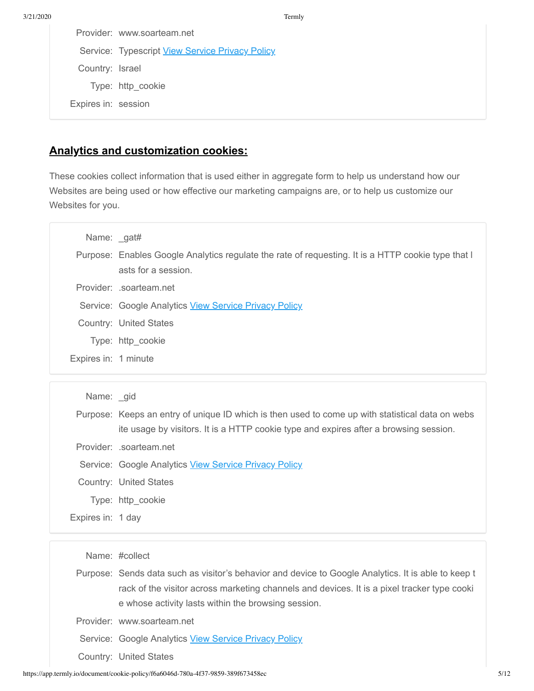|                     | Provider: www.soarteam.net                      |
|---------------------|-------------------------------------------------|
|                     | Service: Typescript View Service Privacy Policy |
| Country: Israel     |                                                 |
|                     | Type: http cookie                               |
| Expires in: session |                                                 |

#### **Analytics and customization cookies:**

These cookies collect information that is used either in aggregate form to help us understand how our Websites are being used or how effective our marketing campaigns are, or to help us customize our Websites for you.

| Name: gat#           |                                                                                                                           |
|----------------------|---------------------------------------------------------------------------------------------------------------------------|
|                      | Purpose: Enables Google Analytics regulate the rate of requesting. It is a HTTP cookie type that I<br>asts for a session. |
|                      | Provider: .soarteam.net                                                                                                   |
|                      | Service: Google Analytics View Service Privacy Policy                                                                     |
|                      | Country: United States                                                                                                    |
|                      | Type: http_cookie                                                                                                         |
| Expires in: 1 minute |                                                                                                                           |

| Name: gid         |                                                                                                  |
|-------------------|--------------------------------------------------------------------------------------------------|
|                   | Purpose: Keeps an entry of unique ID which is then used to come up with statistical data on webs |
|                   | ite usage by visitors. It is a HTTP cookie type and expires after a browsing session.            |
|                   | Provider: .soarteam.net                                                                          |
|                   | Service: Google Analytics View Service Privacy Policy                                            |
|                   | Country: United States                                                                           |
|                   | Type: http cookie                                                                                |
| Expires in: 1 day |                                                                                                  |

Name: #collect

Purpose: Sends data such as visitor's behavior and device to Google Analytics. It is able to keep t rack of the visitor across marketing channels and devices. It is a pixel tracker type cooki e whose activity lasts within the browsing session.

Provider: www.soarteam.net

Service: Google Analytics View Service Privacy Policy

Country: United States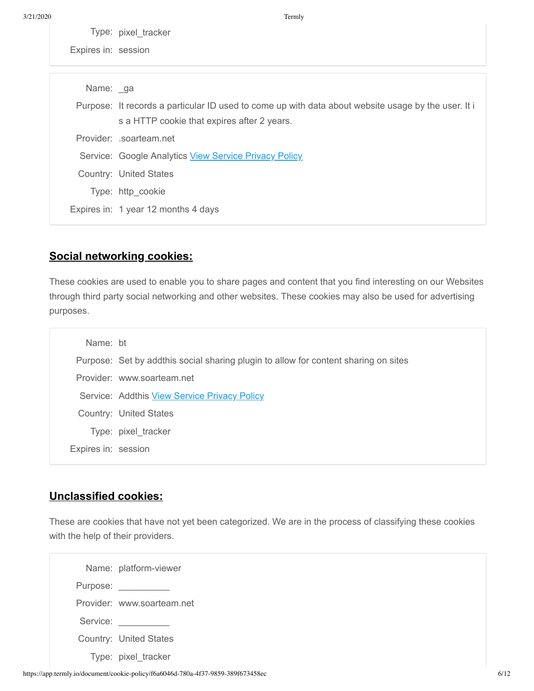Type: pixel\_tracker

Expires in: session

| Name: ga |                                                                                                                                                    |
|----------|----------------------------------------------------------------------------------------------------------------------------------------------------|
|          | Purpose: It records a particular ID used to come up with data about website usage by the user. It i<br>s a HTTP cookie that expires after 2 years. |
|          | Provider: soarteam.net                                                                                                                             |
|          | Service: Google Analytics View Service Privacy Policy                                                                                              |
|          | Country: United States                                                                                                                             |
|          | Type: http cookie                                                                                                                                  |
|          | Expires in: 1 year 12 months 4 days                                                                                                                |

### **Social networking cookies:**

These cookies are used to enable you to share pages and content that you find interesting on our Websites through third party social networking and other websites. These cookies may also be used for advertising purposes.

| Name: bt            |                                                                                     |
|---------------------|-------------------------------------------------------------------------------------|
|                     | Purpose: Set by addthis social sharing plugin to allow for content sharing on sites |
|                     | Provider: www.soarteam.net                                                          |
|                     | Service: Addthis View Service Privacy Policy                                        |
|                     | Country: United States                                                              |
|                     | Type: pixel_tracker                                                                 |
| Expires in: session |                                                                                     |

#### **Unclassified cookies:**

These are cookies that have not yet been categorized. We are in the process of classifying these cookies with the help of their providers.

|          | Name: platform-viewer         |
|----------|-------------------------------|
| Purpose: |                               |
|          | Provider: www.soarteam.net    |
| Service: |                               |
|          | <b>Country: United States</b> |
|          | Type: pixel tracker           |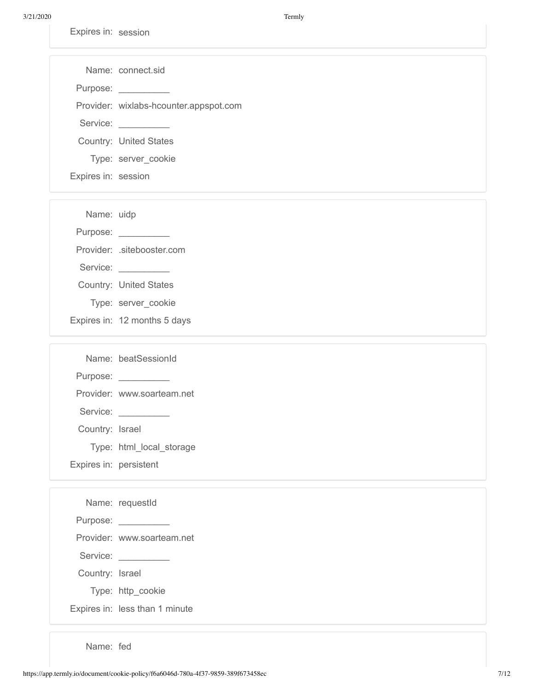3/21/2020 Termly

Expires in: session

|          | Name: connect sid                      |
|----------|----------------------------------------|
| Purpose: |                                        |
|          | Provider: wixlabs-hcounter.appspot.com |
| Service: |                                        |
|          | Country: United States                 |
|          | Type: server cookie                    |

Expires in: session

Name: uidp

Purpose: \_\_\_\_\_\_\_\_\_\_\_\_

Provider: .sitebooster.com

- Service:
- Country: United States
- Type: server\_cookie
- Expires in: 12 months 5 days

|                        | Name: beatSessionId        |
|------------------------|----------------------------|
| Purpose: ___           |                            |
|                        | Provider: www.soarteam.net |
| Service:               |                            |
| Country: Israel        |                            |
|                        | Type: html local storage   |
| Expires in: persistent |                            |

|                 | Name: requestId                |
|-----------------|--------------------------------|
|                 |                                |
|                 | Provider: www.soarteam.net     |
|                 | Service: Service:              |
| Country: Israel |                                |
|                 | Type: http_cookie              |
|                 | Expires in: less than 1 minute |

Name: fed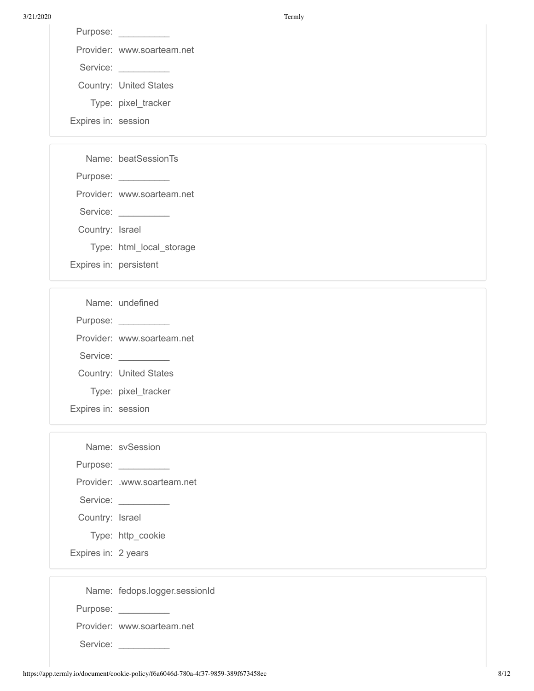3/21/2020 Termly

| Purpose: |                            |
|----------|----------------------------|
|          | Provider: www.soarteam.net |
| Service: |                            |
|          | Country: United States     |
|          | Type: pixel tracker        |

Expires in: session

| Purpose:               |                            |
|------------------------|----------------------------|
|                        | Provider: www.soarteam.net |
| Service:               |                            |
| Country: Israel        |                            |
|                        | Type: html local storage   |
| Expires in: persistent |                            |

|                     | Name: undefined               |
|---------------------|-------------------------------|
| Purpose:            |                               |
|                     | Provider: www.soarteam.net    |
| Service:            |                               |
|                     | <b>Country: United States</b> |
|                     | Type: pixel tracker           |
| Expires in: session |                               |

|                     | Name: svSession               |
|---------------------|-------------------------------|
|                     |                               |
|                     | Provider: .www.soarteam.net   |
|                     | Service:                      |
| Country: Israel     |                               |
|                     | Type: http_cookie             |
| Expires in: 2 years |                               |
|                     |                               |
|                     | Name: fedops.logger.sessionId |

|          | ivalite. redups.rugger.sessioni |
|----------|---------------------------------|
| Purpose: |                                 |

Service: \_\_\_\_\_\_\_\_\_\_\_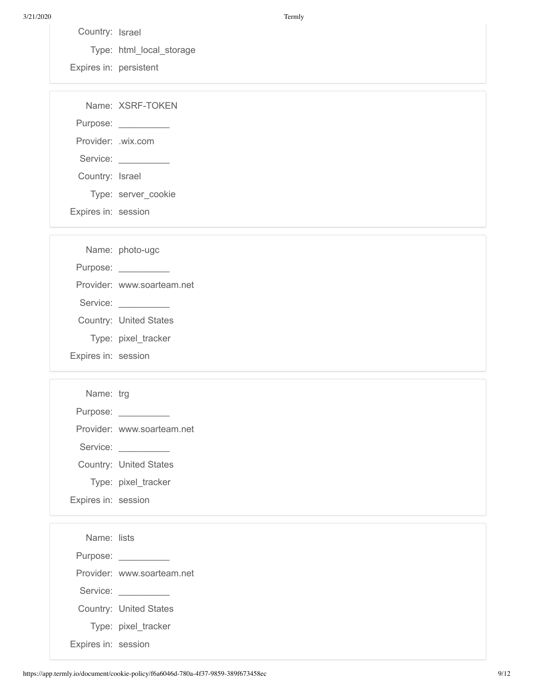3/21/2020 Termly

Country: Israel

Type: html\_local\_storage

Expires in: persistent

|                     | Name: XSRF-TOKEN     |
|---------------------|----------------------|
|                     | Purpose: ___________ |
| Provider: .wix.com  |                      |
| Service:            |                      |
| Country: Israel     |                      |
|                     | Type: server cookie  |
| Expires in: session |                      |

|                     | Name: photo-ugc               |
|---------------------|-------------------------------|
| Purpose:            |                               |
|                     | Provider: www.soarteam.net    |
| Service:            |                               |
|                     | <b>Country: United States</b> |
|                     | Type: pixel tracker           |
| Expires in: session |                               |

| Name: trg           |                               |
|---------------------|-------------------------------|
| Purpose: __         |                               |
|                     | Provider: www.soarteam.net    |
| Service:            |                               |
|                     | <b>Country: United States</b> |
|                     | Type: pixel tracker           |
| Expires in: session |                               |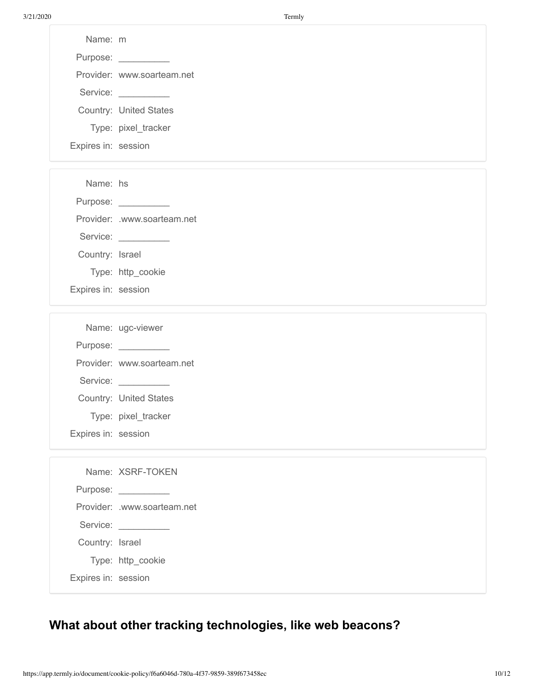| Name: m             |                                   |
|---------------------|-----------------------------------|
|                     | Purpose: ________                 |
|                     | Provider: www.soarteam.net        |
|                     | Service: <u>www.community.com</u> |
|                     | <b>Country: United States</b>     |
|                     | Type: pixel_tracker               |
| Expires in: session |                                   |
|                     |                                   |
|                     |                                   |

Name: hs

Purpose: \_\_\_\_\_\_\_\_\_\_\_

Provider: .www.soarteam.net

Service:

Country: Israel

Type: http\_cookie

Expires in: session

|                     | Name: ugc-viewer              |
|---------------------|-------------------------------|
| Purpose: __         |                               |
|                     | Provider: www.soarteam.net    |
| Service:            |                               |
|                     | <b>Country: United States</b> |
|                     | Type: pixel tracker           |
| Expires in: session |                               |

|  | Name: XSRF-TOKEN |
|--|------------------|

Purpose:

Provider: .www.soarteam.net

Country: Israel

Service:

Type: http\_cookie

Expires in: session

## **What about other tracking technologies, like web beacons?**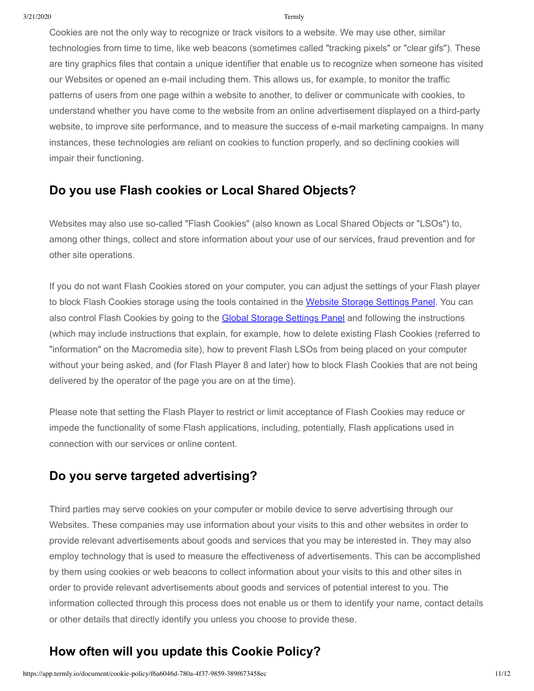Cookies are not the only way to recognize or track visitors to a website. We may use other, similar technologies from time to time, like web beacons (sometimes called "tracking pixels" or "clear gifs"). These are tiny graphics files that contain a unique identifier that enable us to recognize when someone has visited our Websites or opened an e-mail including them. This allows us, for example, to monitor the traffic patterns of users from one page within a website to another, to deliver or communicate with cookies, to understand whether you have come to the website from an online advertisement displayed on a third-party website, to improve site performance, and to measure the success of e-mail marketing campaigns. In many instances, these technologies are reliant on cookies to function properly, and so declining cookies will impair their functioning.

## **Do you use Flash cookies or Local Shared Objects?**

Websites may also use so-called "Flash Cookies" (also known as Local Shared Objects or "LSOs") to, among other things, collect and store information about your use of our services, fraud prevention and for other site operations.

If you do not want Flash Cookies stored on your computer, you can adjust the settings of your Flash player to block Flash Cookies storage using the tools contained in the [Website Storage Settings Panel](http://www.macromedia.com/support/documentation/en/flashplayer/help/settings_manager07.html). You can also control Flash Cookies by going to the [Global Storage Settings Panel](http://www.macromedia.com/support/documentation/en/flashplayer/help/settings_manager03.html) and following the instructions (which may include instructions that explain, for example, how to delete existing Flash Cookies (referred to "information" on the Macromedia site), how to prevent Flash LSOs from being placed on your computer without your being asked, and (for Flash Player 8 and later) how to block Flash Cookies that are not being delivered by the operator of the page you are on at the time).

Please note that setting the Flash Player to restrict or limit acceptance of Flash Cookies may reduce or impede the functionality of some Flash applications, including, potentially, Flash applications used in connection with our services or online content.

## **Do you serve targeted advertising?**

Third parties may serve cookies on your computer or mobile device to serve advertising through our Websites. These companies may use information about your visits to this and other websites in order to provide relevant advertisements about goods and services that you may be interested in. They may also employ technology that is used to measure the effectiveness of advertisements. This can be accomplished by them using cookies or web beacons to collect information about your visits to this and other sites in order to provide relevant advertisements about goods and services of potential interest to you. The information collected through this process does not enable us or them to identify your name, contact details or other details that directly identify you unless you choose to provide these.

## **How often will you update this Cookie Policy?**